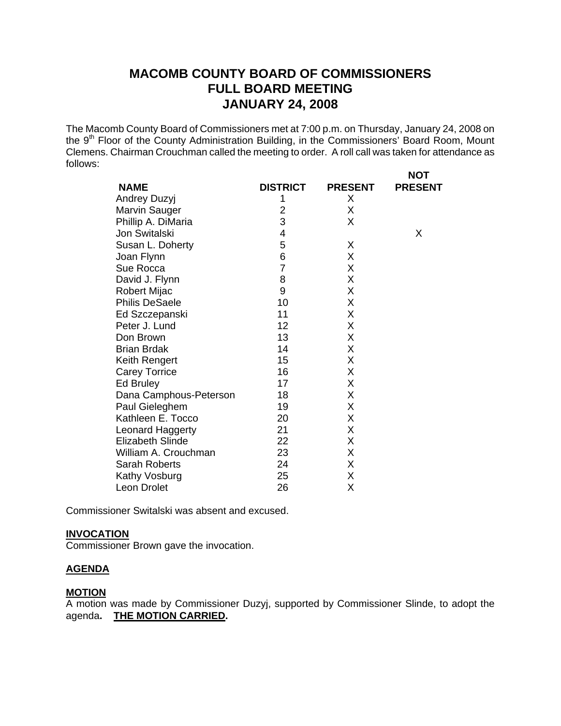# **MACOMB COUNTY BOARD OF COMMISSIONERS FULL BOARD MEETING JANUARY 24, 2008**

The Macomb County Board of Commissioners met at 7:00 p.m. on Thursday, January 24, 2008 on the 9<sup>th</sup> Floor of the County Administration Building, in the Commissioners' Board Room, Mount Clemens. Chairman Crouchman called the meeting to order. A roll call was taken for attendance as follows:

**NOT** 

| <b>NAME</b>             | <b>DISTRICT</b> | <b>PRESENT</b> | ו שו<br><b>PRESENT</b> |
|-------------------------|-----------------|----------------|------------------------|
| Andrey Duzyj            | 1               | X.             |                        |
| Marvin Sauger           | $\overline{2}$  | X              |                        |
| Phillip A. DiMaria      | 3               | X              |                        |
| Jon Switalski           | 4               |                | X                      |
| Susan L. Doherty        | 5               | X              |                        |
|                         | 6               | X              |                        |
| Joan Flynn              | $\overline{7}$  |                |                        |
| Sue Rocca               |                 | X              |                        |
| David J. Flynn          | 8               | X              |                        |
| <b>Robert Mijac</b>     | 9               | X              |                        |
| <b>Philis DeSaele</b>   | 10              | X              |                        |
| Ed Szczepanski          | 11              | X              |                        |
| Peter J. Lund           | 12              | X              |                        |
| Don Brown               | 13              | X              |                        |
| <b>Brian Brdak</b>      | 14              | X              |                        |
| Keith Rengert           | 15              | X              |                        |
| <b>Carey Torrice</b>    | 16              | X              |                        |
| Ed Bruley               | 17              | X              |                        |
| Dana Camphous-Peterson  | 18              | X              |                        |
| Paul Gieleghem          | 19              | X              |                        |
| Kathleen E. Tocco       | 20              | X              |                        |
| Leonard Haggerty        | 21              | X              |                        |
| <b>Elizabeth Slinde</b> | 22              | X              |                        |
| William A. Crouchman    | 23              | X              |                        |
| <b>Sarah Roberts</b>    | 24              | X              |                        |
| Kathy Vosburg           | 25              | Χ              |                        |
| Leon Drolet             | 26              | Χ              |                        |

Commissioner Switalski was absent and excused.

### **INVOCATION**

Commissioner Brown gave the invocation.

### **AGENDA**

# **MOTION**

A motion was made by Commissioner Duzyj, supported by Commissioner Slinde, to adopt the agenda**. THE MOTION CARRIED.**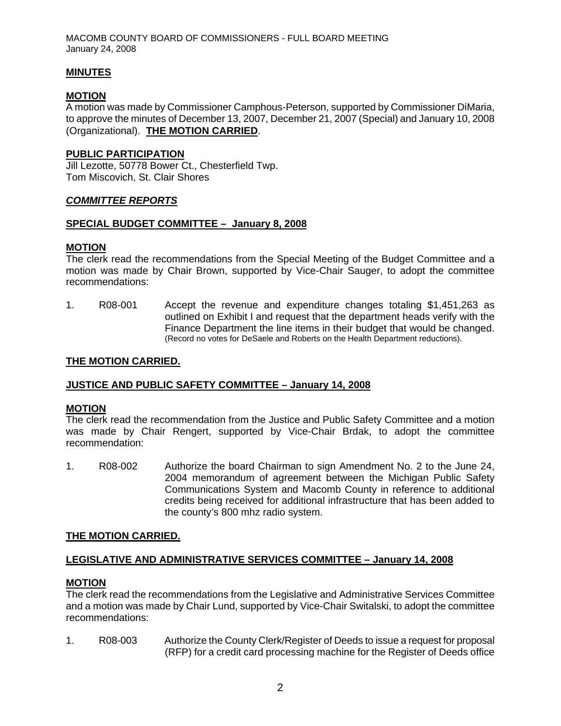MACOMB COUNTY BOARD OF COMMISSIONERS - FULL BOARD MEETING January 24, 2008

### **MINUTES**

### **MOTION**

A motion was made by Commissioner Camphous-Peterson, supported by Commissioner DiMaria, to approve the minutes of December 13, 2007, December 21, 2007 (Special) and January 10, 2008 (Organizational). **THE MOTION CARRIED**.

### **PUBLIC PARTICIPATION**

Jill Lezotte, 50778 Bower Ct., Chesterfield Twp. Tom Miscovich, St. Clair Shores

### *COMMITTEE REPORTS*

#### **SPECIAL BUDGET COMMITTEE – January 8, 2008**

#### **MOTION**

The clerk read the recommendations from the Special Meeting of the Budget Committee and a motion was made by Chair Brown, supported by Vice-Chair Sauger, to adopt the committee recommendations:

1. R08-001 Accept the revenue and expenditure changes totaling \$1,451,263 as outlined on Exhibit I and request that the department heads verify with the Finance Department the line items in their budget that would be changed. (Record no votes for DeSaele and Roberts on the Health Department reductions).

### **THE MOTION CARRIED.**

#### **JUSTICE AND PUBLIC SAFETY COMMITTEE – January 14, 2008**

#### **MOTION**

The clerk read the recommendation from the Justice and Public Safety Committee and a motion was made by Chair Rengert, supported by Vice-Chair Brdak, to adopt the committee recommendation:

1. R08-002 Authorize the board Chairman to sign Amendment No. 2 to the June 24, 2004 memorandum of agreement between the Michigan Public Safety Communications System and Macomb County in reference to additional credits being received for additional infrastructure that has been added to the county's 800 mhz radio system.

#### **THE MOTION CARRIED.**

# **LEGISLATIVE AND ADMINISTRATIVE SERVICES COMMITTEE – January 14, 2008**

#### **MOTION**

The clerk read the recommendations from the Legislative and Administrative Services Committee and a motion was made by Chair Lund, supported by Vice-Chair Switalski, to adopt the committee recommendations:

1. R08-003 Authorize the County Clerk/Register of Deeds to issue a request for proposal (RFP) for a credit card processing machine for the Register of Deeds office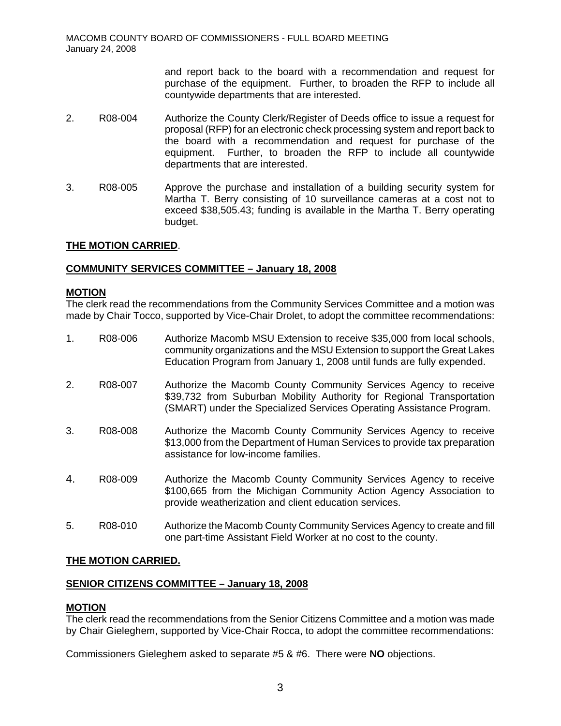and report back to the board with a recommendation and request for purchase of the equipment. Further, to broaden the RFP to include all countywide departments that are interested.

- 2. R08-004 Authorize the County Clerk/Register of Deeds office to issue a request for proposal (RFP) for an electronic check processing system and report back to the board with a recommendation and request for purchase of the equipment. Further, to broaden the RFP to include all countywide departments that are interested.
- 3. R08-005 Approve the purchase and installation of a building security system for Martha T. Berry consisting of 10 surveillance cameras at a cost not to exceed \$38,505.43; funding is available in the Martha T. Berry operating budget.

# **THE MOTION CARRIED**.

### **COMMUNITY SERVICES COMMITTEE – January 18, 2008**

#### **MOTION**

The clerk read the recommendations from the Community Services Committee and a motion was made by Chair Tocco, supported by Vice-Chair Drolet, to adopt the committee recommendations:

- 1. R08-006 Authorize Macomb MSU Extension to receive \$35,000 from local schools, community organizations and the MSU Extension to support the Great Lakes Education Program from January 1, 2008 until funds are fully expended.
- 2. R08-007 Authorize the Macomb County Community Services Agency to receive \$39,732 from Suburban Mobility Authority for Regional Transportation (SMART) under the Specialized Services Operating Assistance Program.
- 3. R08-008 Authorize the Macomb County Community Services Agency to receive \$13,000 from the Department of Human Services to provide tax preparation assistance for low-income families.
- 4. R08-009 Authorize the Macomb County Community Services Agency to receive \$100,665 from the Michigan Community Action Agency Association to provide weatherization and client education services.
- 5. R08-010 Authorize the Macomb County Community Services Agency to create and fill one part-time Assistant Field Worker at no cost to the county.

#### **THE MOTION CARRIED.**

# **SENIOR CITIZENS COMMITTEE – January 18, 2008**

#### **MOTION**

The clerk read the recommendations from the Senior Citizens Committee and a motion was made by Chair Gieleghem, supported by Vice-Chair Rocca, to adopt the committee recommendations:

Commissioners Gieleghem asked to separate #5 & #6. There were **NO** objections.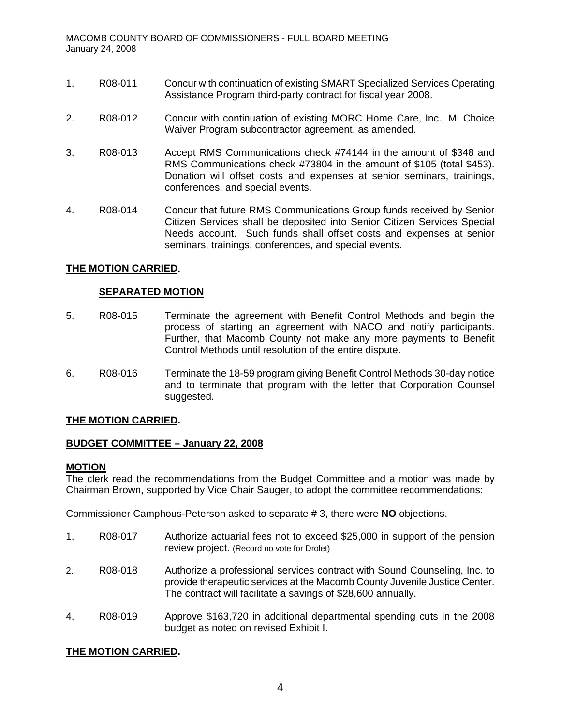- 1. R08-011 Concur with continuation of existing SMART Specialized Services Operating Assistance Program third-party contract for fiscal year 2008.
- 2. R08-012 Concur with continuation of existing MORC Home Care, Inc., MI Choice Waiver Program subcontractor agreement, as amended.
- 3. R08-013 Accept RMS Communications check #74144 in the amount of \$348 and RMS Communications check #73804 in the amount of \$105 (total \$453). Donation will offset costs and expenses at senior seminars, trainings, conferences, and special events.
- 4. R08-014 Concur that future RMS Communications Group funds received by Senior Citizen Services shall be deposited into Senior Citizen Services Special Needs account. Such funds shall offset costs and expenses at senior seminars, trainings, conferences, and special events.

# **THE MOTION CARRIED.**

# **SEPARATED MOTION**

- 5. R08-015 Terminate the agreement with Benefit Control Methods and begin the process of starting an agreement with NACO and notify participants. Further, that Macomb County not make any more payments to Benefit Control Methods until resolution of the entire dispute.
- 6. R08-016 Terminate the 18-59 program giving Benefit Control Methods 30-day notice and to terminate that program with the letter that Corporation Counsel suggested.

# **THE MOTION CARRIED.**

# **BUDGET COMMITTEE – January 22, 2008**

#### **MOTION**

The clerk read the recommendations from the Budget Committee and a motion was made by Chairman Brown, supported by Vice Chair Sauger, to adopt the committee recommendations:

Commissioner Camphous-Peterson asked to separate # 3, there were **NO** objections.

- 1. R08-017 Authorize actuarial fees not to exceed \$25,000 in support of the pension review project. (Record no vote for Drolet)
- 2. R08-018 Authorize a professional services contract with Sound Counseling, Inc. to provide therapeutic services at the Macomb County Juvenile Justice Center. The contract will facilitate a savings of \$28,600 annually.
- 4. R08-019 Approve \$163,720 in additional departmental spending cuts in the 2008 budget as noted on revised Exhibit I.

# **THE MOTION CARRIED.**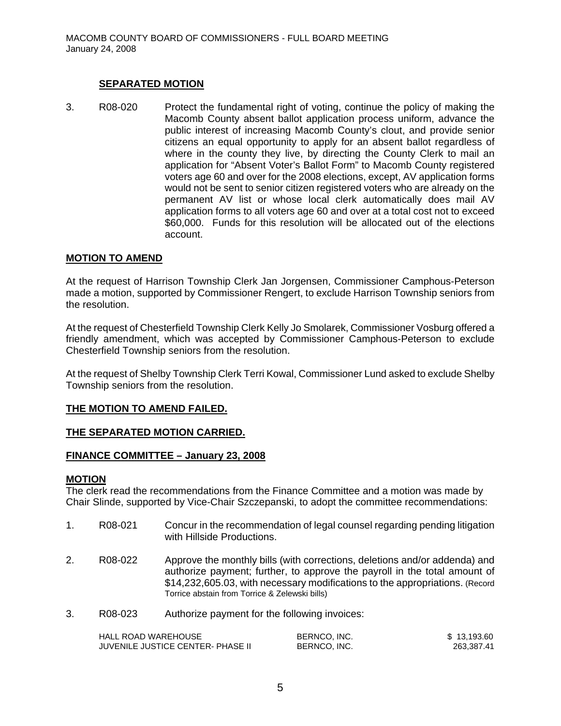# **SEPARATED MOTION**

3. R08-020 Protect the fundamental right of voting, continue the policy of making the Macomb County absent ballot application process uniform, advance the public interest of increasing Macomb County's clout, and provide senior citizens an equal opportunity to apply for an absent ballot regardless of where in the county they live, by directing the County Clerk to mail an application for "Absent Voter's Ballot Form" to Macomb County registered voters age 60 and over for the 2008 elections, except, AV application forms would not be sent to senior citizen registered voters who are already on the permanent AV list or whose local clerk automatically does mail AV application forms to all voters age 60 and over at a total cost not to exceed \$60,000. Funds for this resolution will be allocated out of the elections account.

# **MOTION TO AMEND**

At the request of Harrison Township Clerk Jan Jorgensen, Commissioner Camphous-Peterson made a motion, supported by Commissioner Rengert, to exclude Harrison Township seniors from the resolution.

At the request of Chesterfield Township Clerk Kelly Jo Smolarek, Commissioner Vosburg offered a friendly amendment, which was accepted by Commissioner Camphous-Peterson to exclude Chesterfield Township seniors from the resolution.

At the request of Shelby Township Clerk Terri Kowal, Commissioner Lund asked to exclude Shelby Township seniors from the resolution.

#### **THE MOTION TO AMEND FAILED.**

#### **THE SEPARATED MOTION CARRIED.**

#### **FINANCE COMMITTEE – January 23, 2008**

#### **MOTION**

The clerk read the recommendations from the Finance Committee and a motion was made by Chair Slinde, supported by Vice-Chair Szczepanski, to adopt the committee recommendations:

- 1. R08-021 Concur in the recommendation of legal counsel regarding pending litigation with Hillside Productions.
- 2. R08-022 Approve the monthly bills (with corrections, deletions and/or addenda) and authorize payment; further, to approve the payroll in the total amount of \$14,232,605.03, with necessary modifications to the appropriations. (Record Torrice abstain from Torrice & Zelewski bills)
- 3. R08-023 Authorize payment for the following invoices:

| HALL ROAD WAREHOUSE               | BERNCO. INC. | \$13.193.60 |
|-----------------------------------|--------------|-------------|
| JUVENILE JUSTICE CENTER- PHASE II | BERNCO, INC. | 263.387.41  |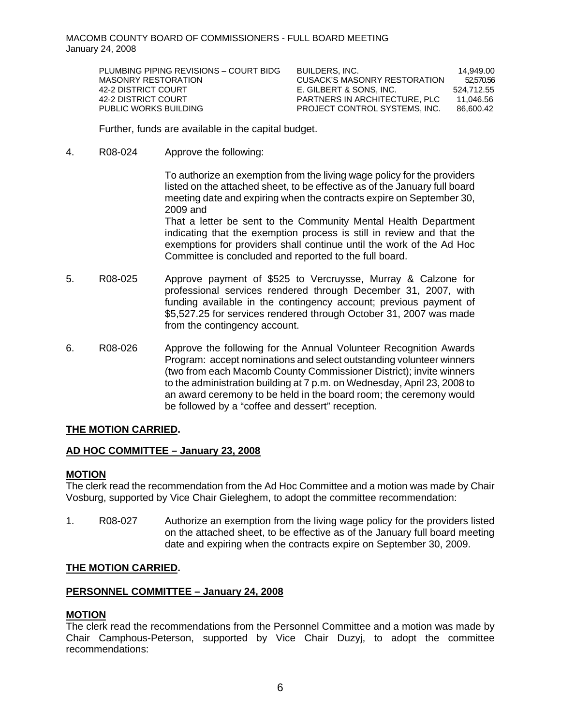MACOMB COUNTY BOARD OF COMMISSIONERS - FULL BOARD MEETING January 24, 2008

| PLUMBING PIPING REVISIONS - COURT BIDG | BUILDERS. INC.                | 14.949.00  |
|----------------------------------------|-------------------------------|------------|
| MASONRY RESTORATION                    | CUSACK'S MASONRY RESTORATION  | 52,570.56  |
| 42-2 DISTRICT COURT                    | E. GILBERT & SONS. INC.       | 524.712.55 |
| 42-2 DISTRICT COURT                    | PARTNERS IN ARCHITECTURE. PLC | 11.046.56  |
| PUBLIC WORKS BUILDING                  | PROJECT CONTROL SYSTEMS. INC. | 86,600.42  |

Further, funds are available in the capital budget.

4. R08-024 Approve the following:

To authorize an exemption from the living wage policy for the providers listed on the attached sheet, to be effective as of the January full board meeting date and expiring when the contracts expire on September 30, 2009 and

That a letter be sent to the Community Mental Health Department indicating that the exemption process is still in review and that the exemptions for providers shall continue until the work of the Ad Hoc Committee is concluded and reported to the full board.

- 5. R08-025 Approve payment of \$525 to Vercruysse, Murray & Calzone for professional services rendered through December 31, 2007, with funding available in the contingency account; previous payment of \$5,527.25 for services rendered through October 31, 2007 was made from the contingency account.
- 6. R08-026 Approve the following for the Annual Volunteer Recognition Awards Program: accept nominations and select outstanding volunteer winners (two from each Macomb County Commissioner District); invite winners to the administration building at 7 p.m. on Wednesday, April 23, 2008 to an award ceremony to be held in the board room; the ceremony would be followed by a "coffee and dessert" reception.

#### **THE MOTION CARRIED.**

#### **AD HOC COMMITTEE – January 23, 2008**

#### **MOTION**

The clerk read the recommendation from the Ad Hoc Committee and a motion was made by Chair Vosburg, supported by Vice Chair Gieleghem, to adopt the committee recommendation:

1. R08-027 Authorize an exemption from the living wage policy for the providers listed on the attached sheet, to be effective as of the January full board meeting date and expiring when the contracts expire on September 30, 2009.

#### **THE MOTION CARRIED.**

#### **PERSONNEL COMMITTEE – January 24, 2008**

#### **MOTION**

The clerk read the recommendations from the Personnel Committee and a motion was made by Chair Camphous-Peterson, supported by Vice Chair Duzyj, to adopt the committee recommendations: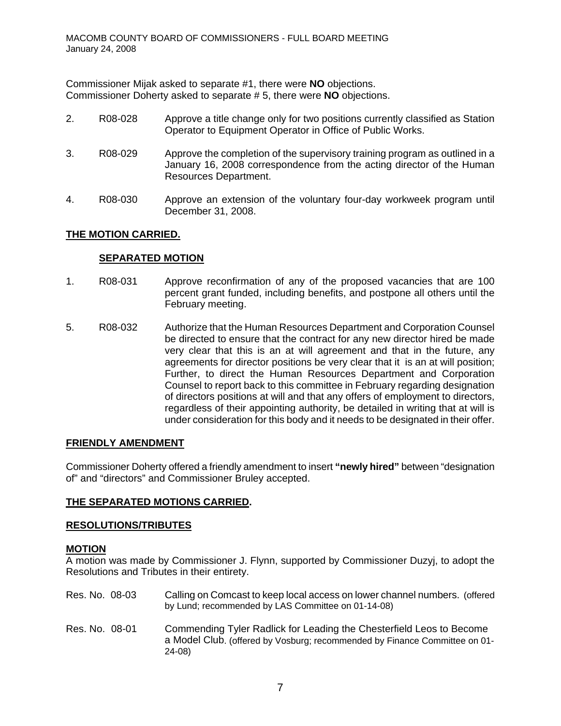Commissioner Mijak asked to separate #1, there were **NO** objections. Commissioner Doherty asked to separate # 5, there were **NO** objections.

- 2. R08-028 Approve a title change only for two positions currently classified as Station Operator to Equipment Operator in Office of Public Works.
- 3. R08-029 Approve the completion of the supervisory training program as outlined in a January 16, 2008 correspondence from the acting director of the Human Resources Department.
- 4. R08-030 Approve an extension of the voluntary four-day workweek program until December 31, 2008.

# **THE MOTION CARRIED.**

### **SEPARATED MOTION**

- 1. R08-031 Approve reconfirmation of any of the proposed vacancies that are 100 percent grant funded, including benefits, and postpone all others until the February meeting.
- 5. R08-032 Authorize that the Human Resources Department and Corporation Counsel be directed to ensure that the contract for any new director hired be made very clear that this is an at will agreement and that in the future, any agreements for director positions be very clear that it is an at will position; Further, to direct the Human Resources Department and Corporation Counsel to report back to this committee in February regarding designation of directors positions at will and that any offers of employment to directors, regardless of their appointing authority, be detailed in writing that at will is under consideration for this body and it needs to be designated in their offer.

#### **FRIENDLY AMENDMENT**

Commissioner Doherty offered a friendly amendment to insert **"newly hired"** between "designation of" and "directors" and Commissioner Bruley accepted.

# **THE SEPARATED MOTIONS CARRIED.**

#### **RESOLUTIONS/TRIBUTES**

#### **MOTION**

A motion was made by Commissioner J. Flynn, supported by Commissioner Duzyj, to adopt the Resolutions and Tributes in their entirety.

Res. No. 08-03 Calling on Comcast to keep local access on lower channel numbers. (offered by Lund; recommended by LAS Committee on 01-14-08) Res. No. 08-01 Commending Tyler Radlick for Leading the Chesterfield Leos to Become a Model Club. (offered by Vosburg; recommended by Finance Committee on 01- 24-08)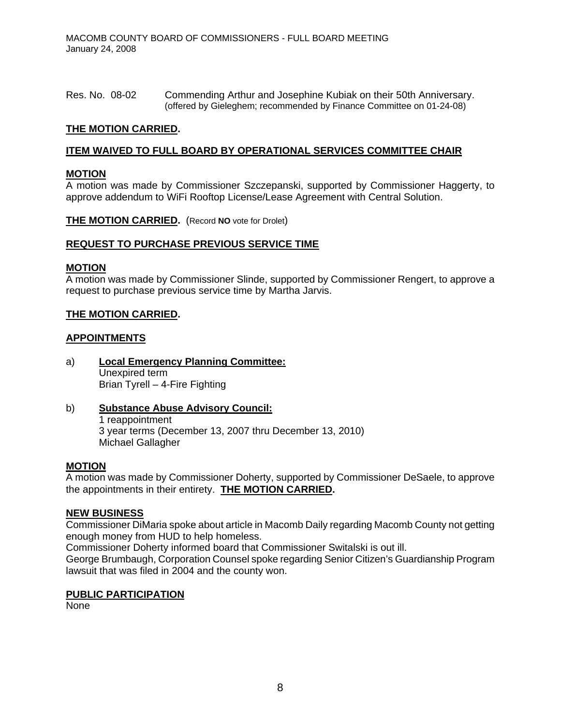Res. No. 08-02 Commending Arthur and Josephine Kubiak on their 50th Anniversary. (offered by Gieleghem; recommended by Finance Committee on 01-24-08)

### **THE MOTION CARRIED.**

### **ITEM WAIVED TO FULL BOARD BY OPERATIONAL SERVICES COMMITTEE CHAIR**

### **MOTION**

A motion was made by Commissioner Szczepanski, supported by Commissioner Haggerty, to approve addendum to WiFi Rooftop License/Lease Agreement with Central Solution.

**THE MOTION CARRIED.** (Record **NO** vote for Drolet)

#### **REQUEST TO PURCHASE PREVIOUS SERVICE TIME**

#### **MOTION**

A motion was made by Commissioner Slinde, supported by Commissioner Rengert, to approve a request to purchase previous service time by Martha Jarvis.

### **THE MOTION CARRIED.**

#### **APPOINTMENTS**

- a) **Local Emergency Planning Committee:** Unexpired term Brian Tyrell – 4-Fire Fighting
- b) **Substance Abuse Advisory Council:** 1 reappointment 3 year terms (December 13, 2007 thru December 13, 2010) Michael Gallagher

#### **MOTION**

A motion was made by Commissioner Doherty, supported by Commissioner DeSaele, to approve the appointments in their entirety. **THE MOTION CARRIED.** 

#### **NEW BUSINESS**

Commissioner DiMaria spoke about article in Macomb Daily regarding Macomb County not getting enough money from HUD to help homeless.

Commissioner Doherty informed board that Commissioner Switalski is out ill.

George Brumbaugh, Corporation Counsel spoke regarding Senior Citizen's Guardianship Program lawsuit that was filed in 2004 and the county won.

#### **PUBLIC PARTICIPATION**

None